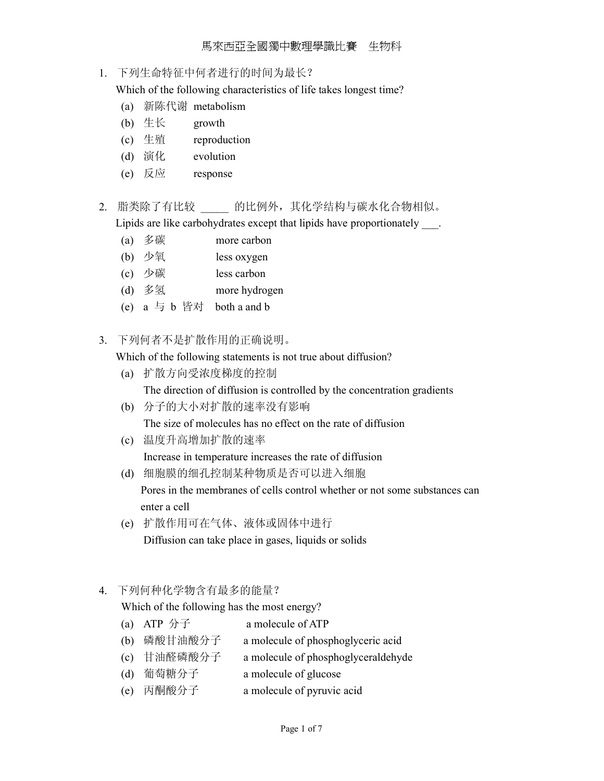### 1. 下列生命特征中何者进行的时间为最长?

Which of the following characteristics of life takes longest time?

- (a) 新陈代谢 metabolism
- (b) 生长 growth
- (c) 生殖 reproduction
- (d) 演化 evolution
- (e) 反应 response
- 2. 脂类除了有比较 的比例外,其化学结构与碳水化合物相似。

Lipids are like carbohydrates except that lipids have proportionately  $\qquad$ .

- (a) 多碳 more carbon
- (b) 少氧 less oxygen
- (c) 少碳 less carbon
- (d) 多氢 more hydrogen
- (e)  $a = b$  皆对 both a and b
- 3. 下列何者不是扩散作用的正确说明。

Which of the following statements is not true about diffusion?

- (a) 扩散方向受浓度梯度的控制 The direction of diffusion is controlled by the concentration gradients
- (b) 分子的大小对扩散的速率没有影响 The size of molecules has no effect on the rate of diffusion
- (c) 温度升高增加扩散的速率 Increase in temperature increases the rate of diffusion
- (d) 细胞膜的细孔控制某种物质是否可以进入细胞 Pores in the membranes of cells control whether or not some substances can enter a cell
- (e) 扩散作用可在气体、液体或固体中进行 Diffusion can take place in gases, liquids or solids
- 4. 下列何种化学物含有最多的能量?

Which of the following has the most energy?

- (a) ATP  $\hat{\pi}$  a molecule of ATP
- (b) 磷酸甘油酸分子 a molecule of phosphoglyceric acid
- (c) 甘油醛磷酸分子 a molecule of phosphoglyceraldehyde
- (d) 葡萄糖分子 a molecule of glucose
- (e) 丙酮酸分子 a molecule of pyruvic acid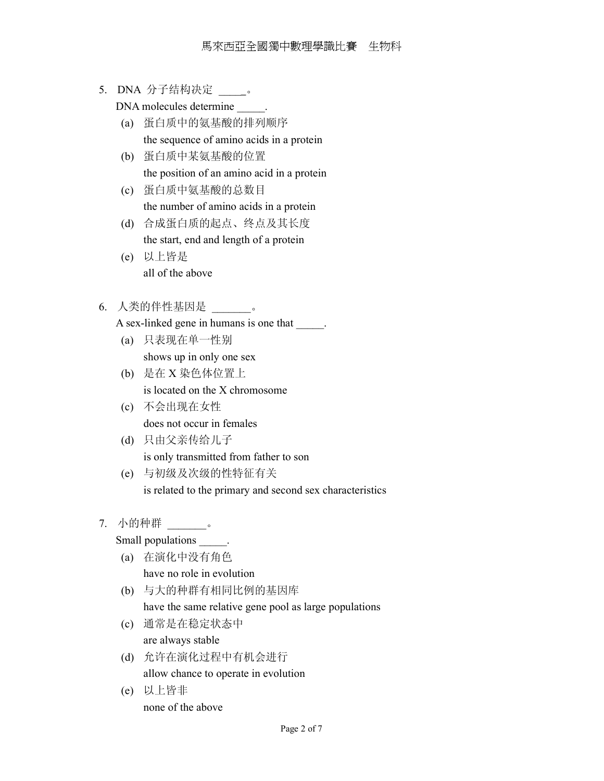5. DNA 分子结构决定 。

DNA molecules determine  $\qquad \qquad$ .

- (a) 蛋白质中的氨基酸的排列顺序 the sequence of amino acids in a protein
- (b) 蛋白质中某氨基酸的位置 the position of an amino acid in a protein
- (c) 蛋白质中氨基酸的总数目 the number of amino acids in a protein
- (d) 合成蛋白质的起点、终点及其长度 the start, end and length of a protein
- (e) 以上皆是 all of the above
- 6. 人类的伴性基因是 \_\_\_\_\_\_\_。
	- A sex-linked gene in humans is one that \_\_\_\_\_.
	- (a) 只表现在单一性别 shows up in only one sex
	- (b) 是在 X 染色体位置上 is located on the X chromosome
	- (c) 不会出现在女性 does not occur in females
	- (d) 只由父亲传给儿子 is only transmitted from father to son
	- (e) 与初级及次级的性特征有关 is related to the primary and second sex characteristics

## 7. 小的种群 \_\_\_\_\_\_\_。

Small populations  $\qquad \qquad$ .

- (a) 在演化中没有角色 have no role in evolution
- (b) 与大的种群有相同比例的基因库

have the same relative gene pool as large populations

- (c) 通常是在稳定状态中 are always stable
- (d) 允许在演化过程中有机会进行 allow chance to operate in evolution
- (e) 以上皆非 none of the above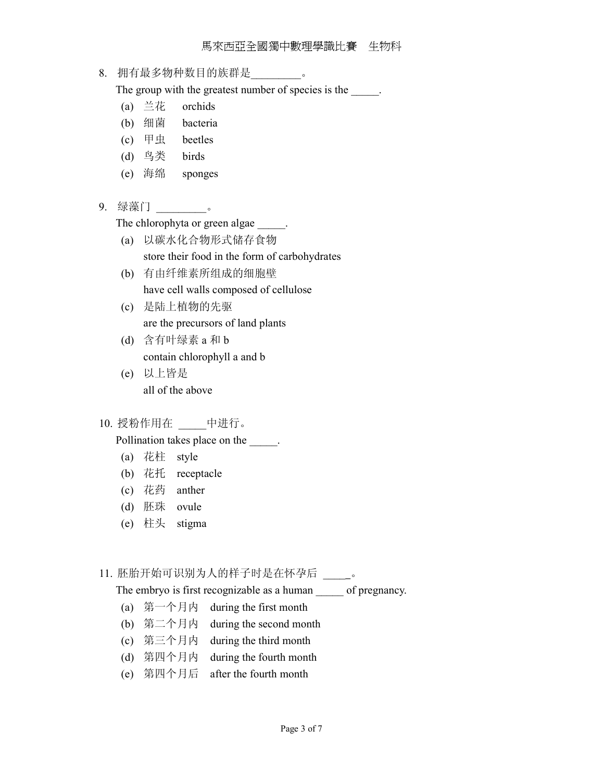#### 馬來西亞全國獨中數理學識比賽 生物科

### 8. 拥有最多物种数目的族群是\_\_\_\_\_\_\_\_\_。

The group with the greatest number of species is the \_\_\_\_\_.

- (a) 兰花 orchids
- (b) 细菌 bacteria
- (c) 甲虫 beetles
- (d) 鸟类 birds
- (e) 海绵 sponges
- 9. 绿藻门 \_\_\_\_\_\_\_\_\_\_\_。

The chlorophyta or green algae .

- (a) 以碳水化合物形式储存食物 store their food in the form of carbohydrates
- (b) 有由纤维素所组成的细胞壁 have cell walls composed of cellulose
- (c) 是陆上植物的先驱 are the precursors of land plants
- (d) 含有叶绿素 a 和 b contain chlorophyll a and b
- (e) 以上皆是 all of the above
- 10. 授粉作用在 \_\_\_\_\_中进行。

Pollination takes place on the  $\qquad$ .

- (a) 花柱 style
- (b) 花托 receptacle
- (c) 花药 anther
- (d) 胚珠 ovule
- (e) 柱头 stigma

## 11. 胚胎开始可识别为人的样子时是在怀孕后 \_\_\_\_。

The embryo is first recognizable as a human \_\_\_\_\_\_ of pregnancy.

- (a) 第一个月内 during the first month
- (b) 第二个月内 during the second month
- (c) 第三个月内 during the third month
- (d) 第四个月内 during the fourth month
- (e) 第四个月后 after the fourth month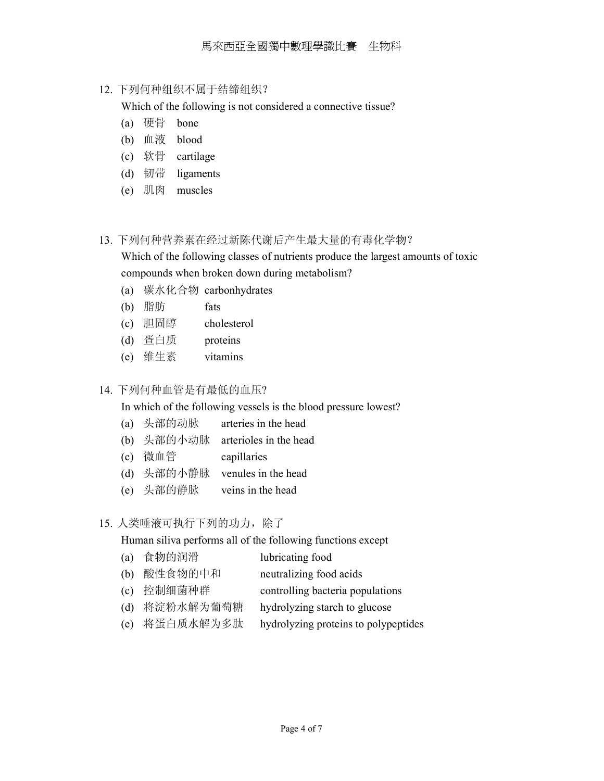12. 下列何种组织不属于结缔组织?

Which of the following is not considered a connective tissue?

- (a) 硬骨 bone
- (b) 血液 blood
- (c) 软骨 cartilage
- (d) 韧带 ligaments
- (e) 肌肉 muscles
- 13. 下列何种营养素在经过新陈代谢后产生最大量的有毒化学物?

 Which of the following classes of nutrients produce the largest amounts of toxic compounds when broken down during metabolism?

- (a) 碳水化合物 carbonhydrates
- (b) 脂肪 fats
- (c) 胆固醇 cholesterol
- (d) 疍白质 proteins
- (e) 维生素 vitamins

## 14. 下列何种血管是有最低的血压?

In which of the following vessels is the blood pressure lowest?

- (a) 头部的动脉 arteries in the head
- (b) 头部的小动脉 arterioles in the head
- (c) 微血管 capillaries
- (d) 头部的小静脉 venules in the head
- (e) 头部的静脉 veins in the head

## 15. 人类唾液可执行下列的功力,除了

Human siliva performs all of the following functions except

(a) 食物的润滑 lubricating food (b) 酸性食物的中和 neutralizing food acids (c) 控制细菌种群 controlling bacteria populations (d) 将淀粉水解为葡萄糖 hydrolyzing starch to glucose (e) 将蛋白质水解为多肽 hydrolyzing proteins to polypeptides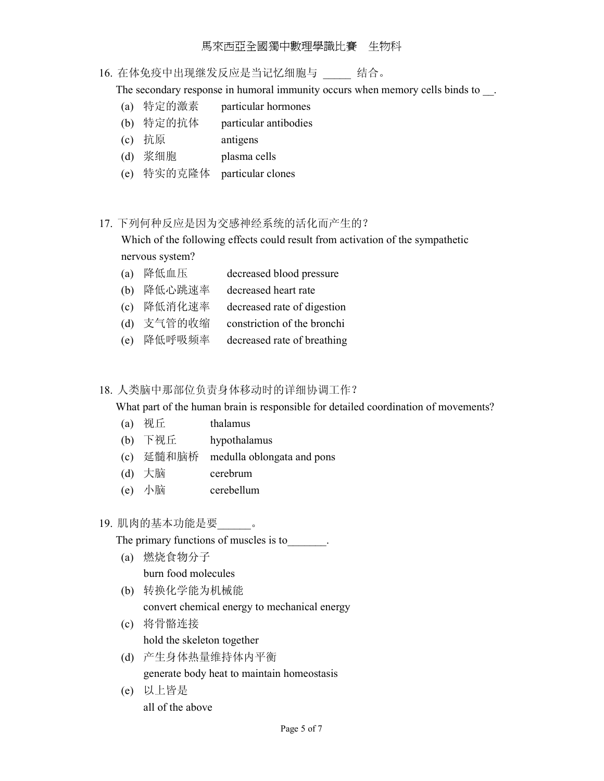### 馬來西亞全國獨中數理學識比賽 生物科

## 16. 在体免疫中出现继发反应是当记忆细胞与 结合。

The secondary response in humoral immunity occurs when memory cells binds to  $\Box$ .

- (a) 特定的激素 particular hormones
- (b) 特定的抗体 particular antibodies
- (c) 抗原 antigens
- (d) 浆细胞 plasma cells
- (e) 特实的克隆体 particular clones

### 17. 下列何种反应是因为交感神经系统的活化而产生的?

 Which of the following effects could result from activation of the sympathetic nervous system?

- (a) 降低血压 decreased blood pressure
- (b) 降低心跳速率 decreased heart rate
- (c) 降低消化速率 decreased rate of digestion
- (d) 支气管的收缩 constriction of the bronchi
- (e) 降低呼吸频率 decreased rate of breathing

#### 18. 人类脑中那部位负责身体移动时的详细协调工作?

What part of the human brain is responsible for detailed coordination of movements?

- (a) 视丘 thalamus
- (b) 下视丘 hypothalamus
- (c) 延髓和脑桥 medulla oblongata and pons
- (d) 大脑 cerebrum
- (e) 小脑 cerebellum

## 19. 肌肉的基本功能是要\_\_\_\_\_\_。

The primary functions of muscles is to  $\qquad \qquad$ .

- (a) 燃烧食物分子 burn food molecules
- (b) 转换化学能为机械能 convert chemical energy to mechanical energy
- (c) 将骨骼连接 hold the skeleton together
- (d) 产生身体热量维持体内平衡 generate body heat to maintain homeostasis
- (e) 以上皆是 all of the above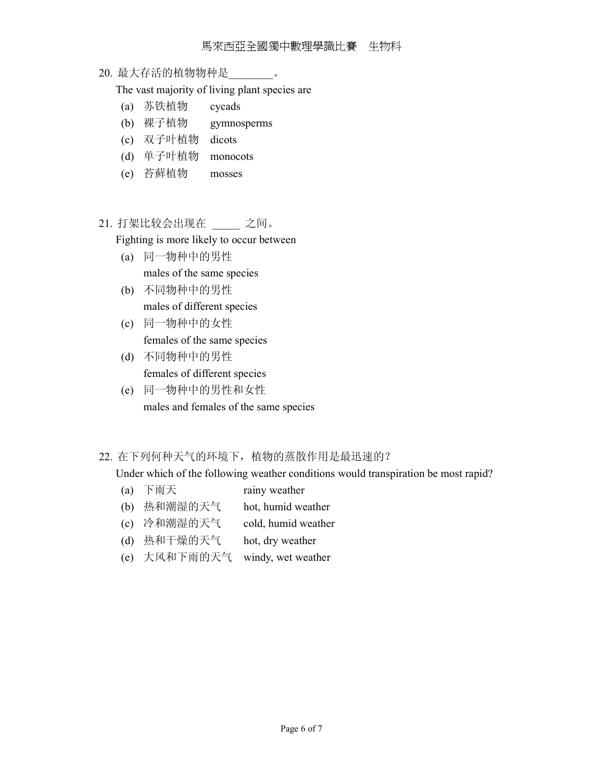20. 最大存活的植物物种是\_\_\_\_\_\_\_\_。

The vast majority of living plant species are

- (a) 苏铁植物 cycads
- (b) 裸子植物 gymnosperms
- (c) 双子叶植物 dicots
- (d) 单子叶植物 monocots
- (e) 苔藓植物 mosses
- 21. 打架比较会出现在 \_\_\_\_\_ 之间。

Fighting is more likely to occur between

- (a) 同一物种中的男性 males of the same species
- (b) 不同物种中的男性 males of different species
- (c) 同一物种中的女性 females of the same species
- (d) 不同物种中的男性 females of different species
- (e) 同一物种中的男性和女性 males and females of the same species

### 22. 在下列何种天气的环境下,植物的蒸散作用是最迅速的?

Under which of the following weather conditions would transpiration be most rapid?

- (a) 下雨天 rainy weather
- (b) 热和潮湿的天气 hot, humid weather
- (c) 冷和潮湿的天气 cold, humid weather
- (d) 热和干燥的天气 hot, dry weather
- (e) 大风和下雨的天气 windy, wet weather